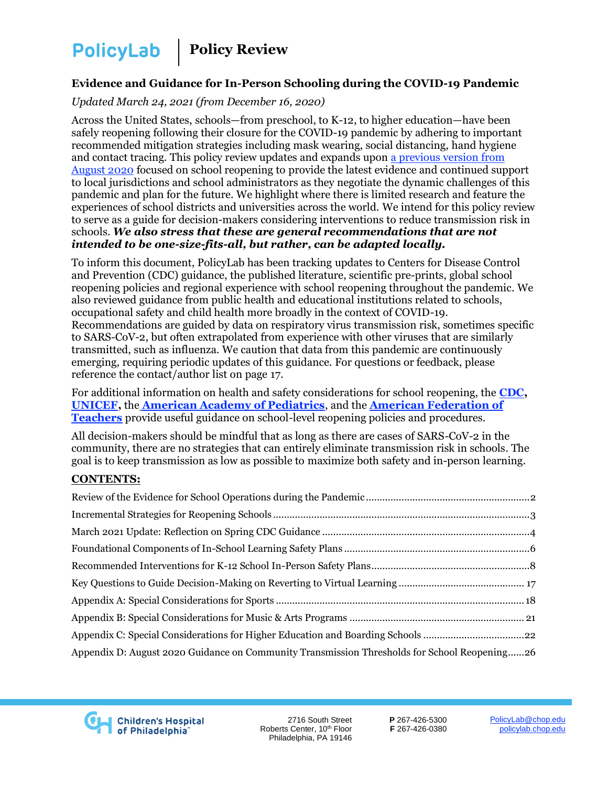**PolicyLab** 

 **Policy Review**

#### **Evidence and Guidance for In-Person Schooling during the COVID-19 Pandemic**

#### *Updated March 24, 2021 (from December 16, 2020)*

Across the United States, schools—from preschool, to K-12, to higher education—have been safely reopening following their closure for the COVID-19 pandemic by adhering to important recommended mitigation strategies including mask wearing, social distancing, hand hygiene and contact tracing. This policy review updates and expands upon [a previous version from](https://policylab.chop.edu/reports-and-tools/policy-review-evidence-and-considerations-school-reopenings)  [August 2020](https://policylab.chop.edu/reports-and-tools/policy-review-evidence-and-considerations-school-reopenings) focused on school reopening to provide the latest evidence and continued support to local jurisdictions and school administrators as they negotiate the dynamic challenges of this pandemic and plan for the future. We highlight where there is limited research and feature the experiences of school districts and universities across the world. We intend for this policy review to serve as a guide for decision-makers considering interventions to reduce transmission risk in schools. *We also stress that these are general recommendations that are not intended to be one-size-fits-all, but rather, can be adapted locally.*

To inform this document, PolicyLab has been tracking updates to Centers for Disease Control and Prevention (CDC) guidance, the published literature, scientific pre-prints, global school reopening policies and regional experience with school reopening throughout the pandemic. We also reviewed guidance from public health and educational institutions related to schools, occupational safety and child health more broadly in the context of COVID-19. Recommendations are guided by data on respiratory virus transmission risk, sometimes specific to SARS-CoV-2, but often extrapolated from experience with other viruses that are similarly transmitted, such as influenza. We caution that data from this pandemic are continuously emerging, requiring periodic updates of this guidance. For questions or feedback, please reference the contact/author list on page 17.

For additional information on health and safety considerations for school reopening, the **[CDC,](https://www.cdc.gov/coronavirus/2019-ncov/community/schools-childcare/index.html) [UNICEF,](https://www.unicef.org/media/68366/file/Framework-for-reopening-schools-2020.pdf)** the **[American Academy of Pediatrics](https://www.aappublications.org/news/2020/05/05/covid19schoolopening050520)**, and the **[American Federation of](https://www.aft.org/sites/default/files/covid19_reopen-america-schools.pdf)  [Teachers](https://www.aft.org/sites/default/files/covid19_reopen-america-schools.pdf)** provide useful guidance on school-level reopening policies and procedures.

All decision-makers should be mindful that as long as there are cases of SARS-CoV-2 in the community, there are no strategies that can entirely eliminate transmission risk in schools. The goal is to keep transmission as low as possible to maximize both safety and in-person learning.

#### **CONTENTS:**

| Appendix C: Special Considerations for Higher Education and Boarding Schools 22              |  |
|----------------------------------------------------------------------------------------------|--|
| Appendix D: August 2020 Guidance on Community Transmission Thresholds for School Reopening26 |  |



2716 South Street Roberts Center, 10<sup>th</sup> Floor Philadelphia, PA 19146

**P** 267-426-5300 **F** 267-426-0380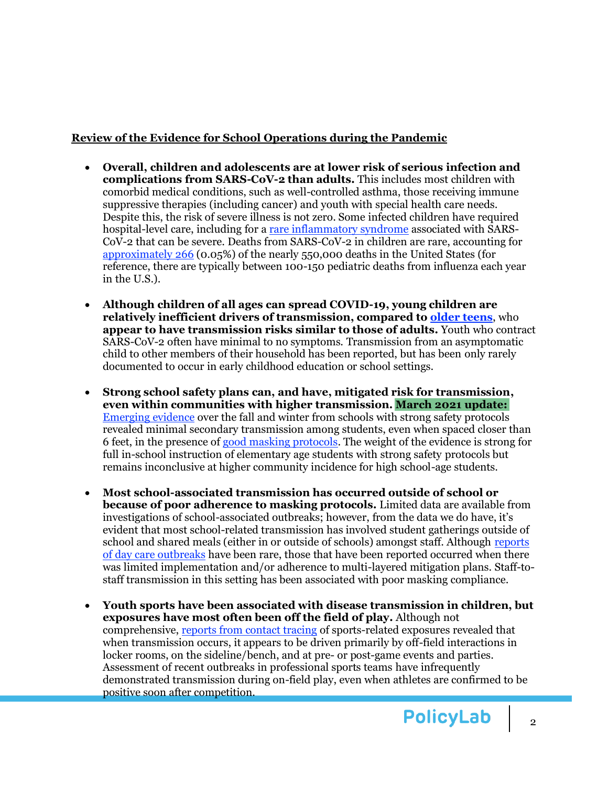#### <span id="page-1-0"></span>**Review of the Evidence for School Operations during the Pandemic**

- **Overall, children and adolescents are at lower risk of serious infection and complications from SARS-CoV-2 than adults.** This includes most children with comorbid medical conditions, such as well-controlled asthma, those receiving immune suppressive therapies (including cancer) and youth with special health care needs. Despite this, the risk of severe illness is not zero. Some infected children have required hospital-level care, including for a rare [inflammatory syndrome](https://emergency.cdc.gov/han/2020/han00432.asp) associated with SARS-CoV-2 that can be severe. Deaths from SARS-CoV-2 in children are rare, accounting for [approximately 266](mailto:https://services.aap.org/en/pages/2019-novel-coronavirus-covid-19-infections/children-and-covid-19-state-level-data-report/) (0.05%) of the nearly 550,000 deaths in the United States (for reference, there are typically between 100-150 pediatric deaths from influenza each year in the U.S.).
- **Although children of all ages can spread COVID-19, young children are relatively inefficient drivers of transmission, compared to [older teens](https://wwwnc.cdc.gov/eid/article/26/10/20-1315_article)**, who **appear to have transmission risks similar to those of adults.** Youth who contract SARS-CoV-2 often have minimal to no symptoms. Transmission from an asymptomatic child to other members of their household has been reported, but has been only rarely documented to occur in early childhood education or school settings.
- **Strong school safety plans can, and have, mitigated risk for transmission, even within communities with higher transmission. March 2021 update:**  [Emerging evidence](https://pediatrics.aappublications.org/content/pediatrics/early/2021/01/06/peds.2020-048090.full.pdf) over the fall and winter from schools with strong safety protocols revealed minimal secondary transmission among students, even when spaced closer than 6 feet, in the presence of [good masking protocols.](https://www.cdc.gov/mmwr/volumes/70/wr/mm7004e3.htm?s_cid=mm7004e3_e&ACSTrackingID=USCDC_921-DM47411&ACSTrackingLabel=MMWR%20Early%20Release%20-%20Vol.%2070%2C%20January%2026%2C%202021&deliveryName=USCDC_921-DM47411) The weight of the evidence is strong for full in-school instruction of elementary age students with strong safety protocols but remains inconclusive at higher community incidence for high school-age students.
- **Most school-associated transmission has occurred outside of school or because of poor adherence to masking protocols.** Limited data are available from investigations of school-associated outbreaks; however, from the data we do have, it's evident that most school-related transmission has involved student gatherings outside of school and shared meals (either in or outside of schools) amongst staff. Although [reports](https://pediatrics.aappublications.org/content/pediatrics/early/2020/10/12/peds.2020-031971.full.pdf)  of day [care outbreaks](https://pediatrics.aappublications.org/content/pediatrics/early/2020/10/12/peds.2020-031971.full.pdf) have been rare, those that have been reported occurred when there was limited implementation and/or adherence to multi-layered mitigation plans. Staff-tostaff transmission in this setting has been associated with poor masking compliance.
- **Youth sports have been associated with disease transmission in children, but exposures have most often been off the field of play.** Although not comprehensive, [reports from contact tracing](https://www.cdc.gov/mmwr/volumes/69/wr/mm6942a4.htm) of sports-related exposures revealed that when transmission occurs, it appears to be driven primarily by off-field interactions in locker rooms, on the sideline/bench, and at pre- or post-game events and parties. Assessment of recent outbreaks in professional sports teams have infrequently demonstrated transmission during on-field play, even when athletes are confirmed to be positive soon after competition.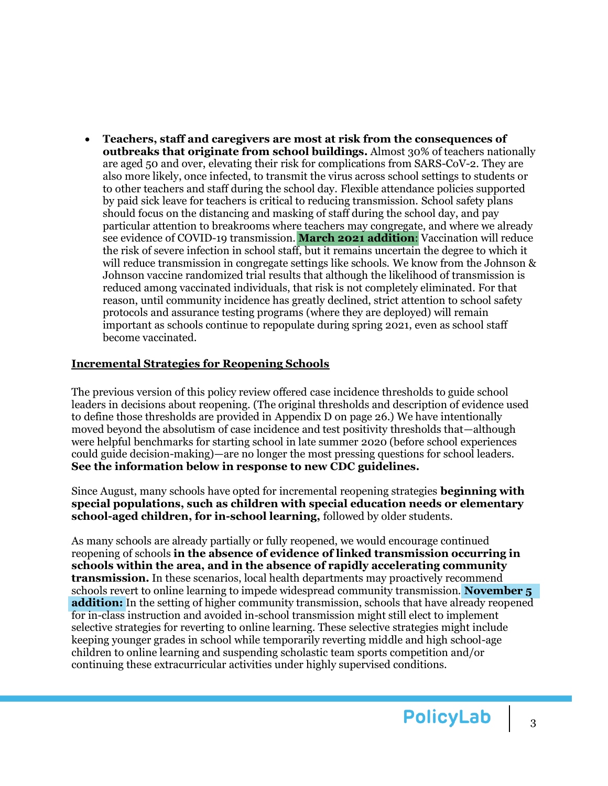• **Teachers, staff and caregivers are most at risk from the consequences of outbreaks that originate from school buildings.** Almost 30% of teachers nationally are aged 50 and over, elevating their risk for complications from SARS-CoV-2. They are also more likely, once infected, to transmit the virus across school settings to students or to other teachers and staff during the school day. Flexible attendance policies supported by paid sick leave for teachers is critical to reducing transmission. School safety plans should focus on the distancing and masking of staff during the school day, and pay particular attention to breakrooms where teachers may congregate, and where we already see evidence of COVID-19 transmission. **March 2021 addition**: Vaccination will reduce the risk of severe infection in school staff, but it remains uncertain the degree to which it will reduce transmission in congregate settings like schools. We know from the Johnson & Johnson vaccine randomized trial results that although the likelihood of transmission is reduced among vaccinated individuals, that risk is not completely eliminated. For that reason, until community incidence has greatly declined, strict attention to school safety protocols and assurance testing programs (where they are deployed) will remain important as schools continue to repopulate during spring 2021, even as school staff become vaccinated.

#### <span id="page-2-0"></span>**Incremental Strategies for Reopening Schools**

The previous version of this policy review offered case incidence thresholds to guide school leaders in decisions about reopening. (The original thresholds and description of evidence used to define those thresholds are provided in Appendix D on page 26.) We have intentionally moved beyond the absolutism of case incidence and test positivity thresholds that—although were helpful benchmarks for starting school in late summer 2020 (before school experiences could guide decision-making)—are no longer the most pressing questions for school leaders. **See the information below in response to new CDC guidelines.** 

Since August, many schools have opted for incremental reopening strategies **beginning with special populations, such as children with special education needs or elementary school-aged children, for in-school learning,** followed by older students.

As many schools are already partially or fully reopened, we would encourage continued reopening of schools **in the absence of evidence of linked transmission occurring in schools within the area, and in the absence of rapidly accelerating community transmission.** In these scenarios, local health departments may proactively recommend schools revert to online learning to impede widespread community transmission. **November 5 addition:** In the setting of higher community transmission, schools that have already reopened for in-class instruction and avoided in-school transmission might still elect to implement selective strategies for reverting to online learning. These selective strategies might include keeping younger grades in school while temporarily reverting middle and high school-age children to online learning and suspending scholastic team sports competition and/or continuing these extracurricular activities under highly supervised conditions.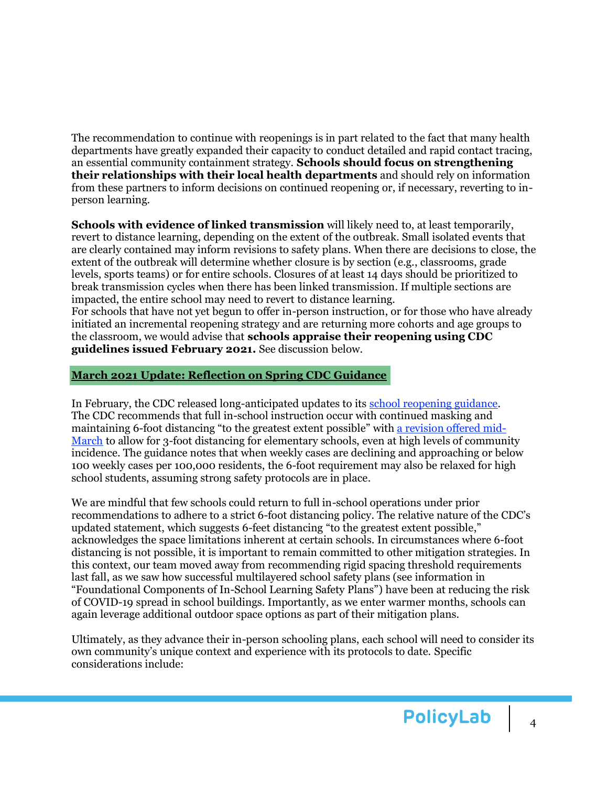The recommendation to continue with reopenings is in part related to the fact that many health departments have greatly expanded their capacity to conduct detailed and rapid contact tracing, an essential community containment strategy. **Schools should focus on strengthening their relationships with their local health departments** and should rely on information from these partners to inform decisions on continued reopening or, if necessary, reverting to inperson learning.

**Schools with evidence of linked transmission** will likely need to, at least temporarily, revert to distance learning, depending on the extent of the outbreak. Small isolated events that are clearly contained may inform revisions to safety plans. When there are decisions to close, the extent of the outbreak will determine whether closure is by section (e.g., classrooms, grade levels, sports teams) or for entire schools. Closures of at least 14 days should be prioritized to break transmission cycles when there has been linked transmission. If multiple sections are impacted, the entire school may need to revert to distance learning. For schools that have not yet begun to offer in-person instruction, or for those who have already

initiated an incremental reopening strategy and are returning more cohorts and age groups to the classroom, we would advise that **schools appraise their reopening using CDC guidelines issued February 2021.** See discussion below.

#### <span id="page-3-0"></span>**March 2021 Update: Reflection on Spring CDC Guidance**

In February, the CDC released long-anticipated updates to its [school reopening guidance.](https://www.cdc.gov/coronavirus/2019-ncov/community/schools-childcare/operation-strategy.html) The CDC recommends that full in-school instruction occur with continued masking and maintaining 6-foot distancing "to the greatest extent possible" wit[h a revision offered mid-](https://www.cdc.gov/coronavirus/2019-ncov/community/schools-childcare/operation-strategy.html)[March](https://www.cdc.gov/coronavirus/2019-ncov/community/schools-childcare/operation-strategy.html) to allow for 3-foot distancing for elementary schools, even at high levels of community incidence. The guidance notes that when weekly cases are declining and approaching or below 100 weekly cases per 100,000 residents, the 6-foot requirement may also be relaxed for high school students, assuming strong safety protocols are in place.

We are mindful that few schools could return to full in-school operations under prior recommendations to adhere to a strict 6-foot distancing policy. The relative nature of the CDC's updated statement, which suggests 6-feet distancing "to the greatest extent possible," acknowledges the space limitations inherent at certain schools. In circumstances where 6-foot distancing is not possible, it is important to remain committed to other mitigation strategies. In this context, our team moved away from recommending rigid spacing threshold requirements last fall, as we saw how successful multilayered school safety plans (see information in "Foundational Components of In-School Learning Safety Plans") have been at reducing the risk of COVID-19 spread in school buildings. Importantly, as we enter warmer months, schools can again leverage additional outdoor space options as part of their mitigation plans.

Ultimately, as they advance their in-person schooling plans, each school will need to consider its own community's unique context and experience with its protocols to date. Specific considerations include: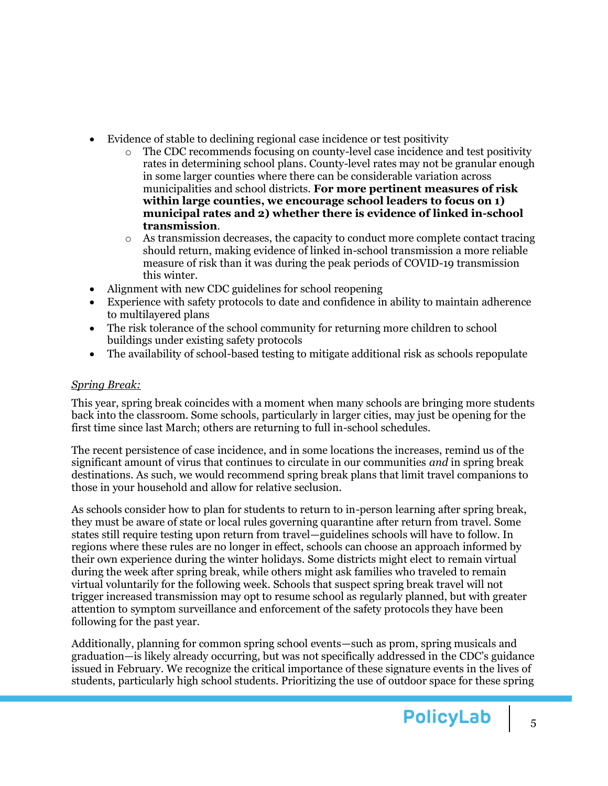- Evidence of stable to declining regional case incidence or test positivity
	- o The CDC recommends focusing on county-level case incidence and test positivity rates in determining school plans. County-level rates may not be granular enough in some larger counties where there can be considerable variation across municipalities and school districts. **For more pertinent measures of risk within large counties, we encourage school leaders to focus on 1) municipal rates and 2) whether there is evidence of linked in-school transmission**.
	- $\circ$  As transmission decreases, the capacity to conduct more complete contact tracing should return, making evidence of linked in-school transmission a more reliable measure of risk than it was during the peak periods of COVID-19 transmission this winter.
- Alignment with new CDC guidelines for school reopening
- Experience with safety protocols to date and confidence in ability to maintain adherence to multilayered plans
- The risk tolerance of the school community for returning more children to school buildings under existing safety protocols
- The availability of school-based testing to mitigate additional risk as schools repopulate

## *Spring Break:*

This year, spring break coincides with a moment when many schools are bringing more students back into the classroom. Some schools, particularly in larger cities, may just be opening for the first time since last March; others are returning to full in-school schedules.

The recent persistence of case incidence, and in some locations the increases, remind us of the significant amount of virus that continues to circulate in our communities *and* in spring break destinations. As such, we would recommend spring break plans that limit travel companions to those in your household and allow for relative seclusion.

As schools consider how to plan for students to return to in-person learning after spring break, they must be aware of state or local rules governing quarantine after return from travel. Some states still require testing upon return from travel—guidelines schools will have to follow. In regions where these rules are no longer in effect, schools can choose an approach informed by their own experience during the winter holidays. Some districts might elect to remain virtual during the week after spring break, while others might ask families who traveled to remain virtual voluntarily for the following week. Schools that suspect spring break travel will not trigger increased transmission may opt to resume school as regularly planned, but with greater attention to symptom surveillance and enforcement of the safety protocols they have been following for the past year.

Additionally, planning for common spring school events—such as prom, spring musicals and graduation—is likely already occurring, but was not specifically addressed in the CDC's guidance issued in February. We recognize the critical importance of these signature events in the lives of students, particularly high school students. Prioritizing the use of outdoor space for these spring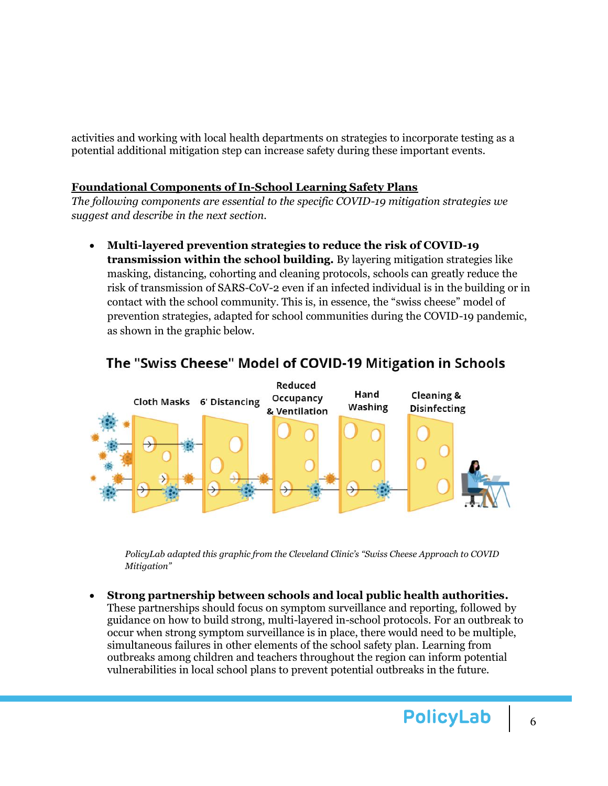activities and working with local health departments on strategies to incorporate testing as a potential additional mitigation step can increase safety during these important events.

### <span id="page-5-0"></span>**Foundational Components of In-School Learning Safety Plans**

*The following components are essential to the specific COVID-19 mitigation strategies we suggest and describe in the next section.* 

• **Multi-layered prevention strategies to reduce the risk of COVID-19 transmission within the school building.** By layering mitigation strategies like masking, distancing, cohorting and cleaning protocols, schools can greatly reduce the risk of transmission of SARS-CoV-2 even if an infected individual is in the building or in contact with the school community. This is, in essence, the "swiss cheese" model of prevention strategies, adapted for school communities during the COVID-19 pandemic, as shown in the graphic below.



# The "Swiss Cheese" Model of COVID-19 Mitigation in Schools

*PolicyLab adapted this graphic from the Cleveland Clinic's "Swiss Cheese Approach to COVID Mitigation"* 

• **Strong partnership between schools and local public health authorities.** These partnerships should focus on symptom surveillance and reporting, followed by guidance on how to build strong, multi-layered in-school protocols. For an outbreak to occur when strong symptom surveillance is in place, there would need to be multiple, simultaneous failures in other elements of the school safety plan. Learning from outbreaks among children and teachers throughout the region can inform potential vulnerabilities in local school plans to prevent potential outbreaks in the future.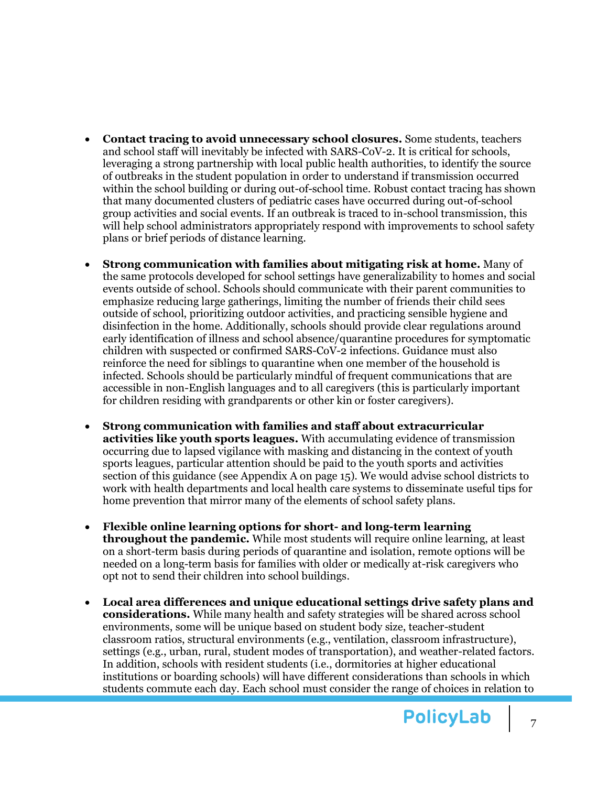- **Contact tracing to avoid unnecessary school closures.** Some students, teachers and school staff will inevitably be infected with SARS-CoV-2. It is critical for schools, leveraging a strong partnership with local public health authorities, to identify the source of outbreaks in the student population in order to understand if transmission occurred within the school building or during out-of-school time. Robust contact tracing has shown that many documented clusters of pediatric cases have occurred during out-of-school group activities and social events. If an outbreak is traced to in-school transmission, this will help school administrators appropriately respond with improvements to school safety plans or brief periods of distance learning.
- **Strong communication with families about mitigating risk at home.** Many of the same protocols developed for school settings have generalizability to homes and social events outside of school. Schools should communicate with their parent communities to emphasize reducing large gatherings, limiting the number of friends their child sees outside of school, prioritizing outdoor activities, and practicing sensible hygiene and disinfection in the home. Additionally, schools should provide clear regulations around early identification of illness and school absence/quarantine procedures for symptomatic children with suspected or confirmed SARS-CoV-2 infections. Guidance must also reinforce the need for siblings to quarantine when one member of the household is infected. Schools should be particularly mindful of frequent communications that are accessible in non-English languages and to all caregivers (this is particularly important for children residing with grandparents or other kin or foster caregivers).
- **Strong communication with families and staff about extracurricular activities like youth sports leagues.** With accumulating evidence of transmission occurring due to lapsed vigilance with masking and distancing in the context of youth sports leagues, particular attention should be paid to the youth sports and activities section of this guidance (see Appendix A on page 15). We would advise school districts to work with health departments and local health care systems to disseminate useful tips for home prevention that mirror many of the elements of school safety plans.
- **Flexible online learning options for short- and long-term learning throughout the pandemic.** While most students will require online learning, at least on a short-term basis during periods of quarantine and isolation, remote options will be needed on a long-term basis for families with older or medically at-risk caregivers who opt not to send their children into school buildings.
- **Local area differences and unique educational settings drive safety plans and considerations.** While many health and safety strategies will be shared across school environments, some will be unique based on student body size, teacher-student classroom ratios, structural environments (e.g., ventilation, classroom infrastructure), settings (e.g., urban, rural, student modes of transportation), and weather-related factors. In addition, schools with resident students (i.e., dormitories at higher educational institutions or boarding schools) will have different considerations than schools in which students commute each day. Each school must consider the range of choices in relation to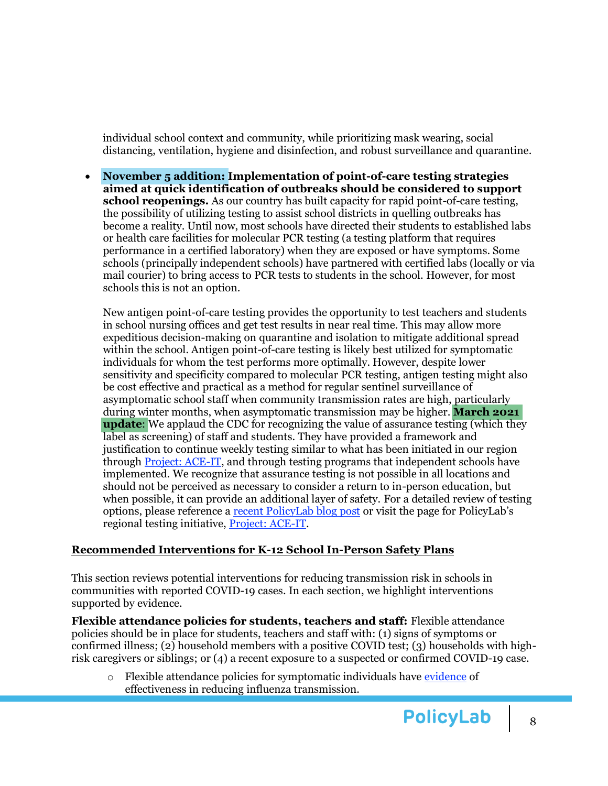individual school context and community, while prioritizing mask wearing, social distancing, ventilation, hygiene and disinfection, and robust surveillance and quarantine.

• **November 5 addition: Implementation of point-of-care testing strategies aimed at quick identification of outbreaks should be considered to support school reopenings.** As our country has built capacity for rapid point-of-care testing, the possibility of utilizing testing to assist school districts in quelling outbreaks has become a reality. Until now, most schools have directed their students to established labs or health care facilities for molecular PCR testing (a testing platform that requires performance in a certified laboratory) when they are exposed or have symptoms. Some schools (principally independent schools) have partnered with certified labs (locally or via mail courier) to bring access to PCR tests to students in the school. However, for most schools this is not an option.

New antigen point-of-care testing provides the opportunity to test teachers and students in school nursing offices and get test results in near real time. This may allow more expeditious decision-making on quarantine and isolation to mitigate additional spread within the school. Antigen point-of-care testing is likely best utilized for symptomatic individuals for whom the test performs more optimally. However, despite lower sensitivity and specificity compared to molecular PCR testing, antigen testing might also be cost effective and practical as a method for regular sentinel surveillance of asymptomatic school staff when community transmission rates are high, particularly during winter months, when asymptomatic transmission may be higher. **March 2021 update**: We applaud the CDC for recognizing the value of assurance testing (which they label as screening) of staff and students. They have provided a framework and justification to continue weekly testing similar to what has been initiated in our region through [Project: ACE-IT,](https://policylab.chop.edu/project/assisting-childhood-education-through-increased-testing-project-ace-it) and through testing programs that independent schools have implemented. We recognize that assurance testing is not possible in all locations and should not be perceived as necessary to consider a return to in-person education, but when possible, it can provide an additional layer of safety. For a detailed review of testing options, please reference a [recent PolicyLab blog post](https://policylab.chop.edu/blog/growing-opportunities-covid-19-testing-programs-us-schools) or visit the page for PolicyLab's regional testing initiative, [Project:](https://policylab.chop.edu/project/assisting-childhood-education-through-increased-testing-project-ace-it) ACE-IT.

### <span id="page-7-0"></span>**Recommended Interventions for K-12 School In-Person Safety Plans**

This section reviews potential interventions for reducing transmission risk in schools in communities with reported COVID-19 cases. In each section, we highlight interventions supported by evidence.

**Flexible attendance policies for students, teachers and staff:** Flexible attendance policies should be in place for students, teachers and staff with: (1) signs of symptoms or confirmed illness; (2) household members with a positive COVID test; (3) households with highrisk caregivers or siblings; or (4) a recent exposure to a suspected or confirmed COVID-19 case.

o Flexible attendance policies for symptomatic individuals have [evidence](https://apps.who.int/iris/handle/10665/329439) of effectiveness in reducing influenza transmission.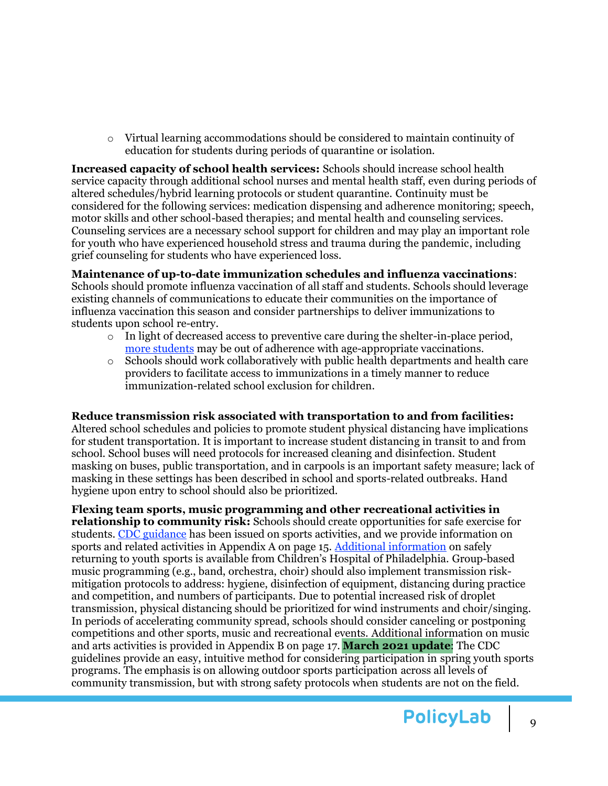$\circ$  Virtual learning accommodations should be considered to maintain continuity of education for students during periods of quarantine or isolation.

**Increased capacity of school health services:** Schools should increase school health service capacity through additional school nurses and mental health staff, even during periods of altered schedules/hybrid learning protocols or student quarantine. Continuity must be considered for the following services: medication dispensing and adherence monitoring; speech, motor skills and other school-based therapies; and mental health and counseling services. Counseling services are a necessary school support for children and may play an important role for youth who have experienced household stress and trauma during the pandemic, including grief counseling for students who have experienced loss.

**Maintenance of up-to-date immunization schedules and influenza vaccinations**: Schools should promote influenza vaccination of all staff and students. Schools should leverage existing channels of communications to educate their communities on the importance of influenza vaccination this season and consider partnerships to deliver immunizations to students upon school re-entry.

- $\circ$  In light of decreased access to preventive care during the shelter-in-place period, [more students](https://www.nytimes.com/2020/04/23/health/coronavirus-measles-vaccines.html?searchResultPosition=1) may be out of adherence with age-appropriate vaccinations.
- o Schools should work collaboratively with public health departments and health care providers to facilitate access to immunizations in a timely manner to reduce immunization-related school exclusion for children.

### **Reduce transmission risk associated with transportation to and from facilities:**

Altered school schedules and policies to promote student physical distancing have implications for student transportation. It is important to increase student distancing in transit to and from school. School buses will need protocols for increased cleaning and disinfection. Student masking on buses, public transportation, and in carpools is an important safety measure; lack of masking in these settings has been described in school and sports-related outbreaks. Hand hygiene upon entry to school should also be prioritized.

**Flexing team sports, music programming and other recreational activities in relationship to community risk:** Schools should create opportunities for safe exercise for students. [CDC guidance](https://www.cdc.gov/coronavirus/2019-ncov/community/schools-childcare/youth-sports.html) has been issued on sports activities, and we provide information on sports and related activities in Appendix A on page 15. [Additional information](https://www.chop.edu/return-youth-sports-after-covid-19-shutdown-reference-guides) on safely returning to youth sports is available from Children's Hospital of Philadelphia. Group-based music programming (e.g., band, orchestra, choir) should also implement transmission riskmitigation protocols to address: hygiene, disinfection of equipment, distancing during practice and competition, and numbers of participants. Due to potential increased risk of droplet transmission, physical distancing should be prioritized for wind instruments and choir/singing. In periods of accelerating community spread, schools should consider canceling or postponing competitions and other sports, music and recreational events. Additional information on music and arts activities is provided in Appendix B on page 17. **March 2021 update**: The CDC guidelines provide an easy, intuitive method for considering participation in spring youth sports programs. The emphasis is on allowing outdoor sports participation across all levels of community transmission, but with strong safety protocols when students are not on the field.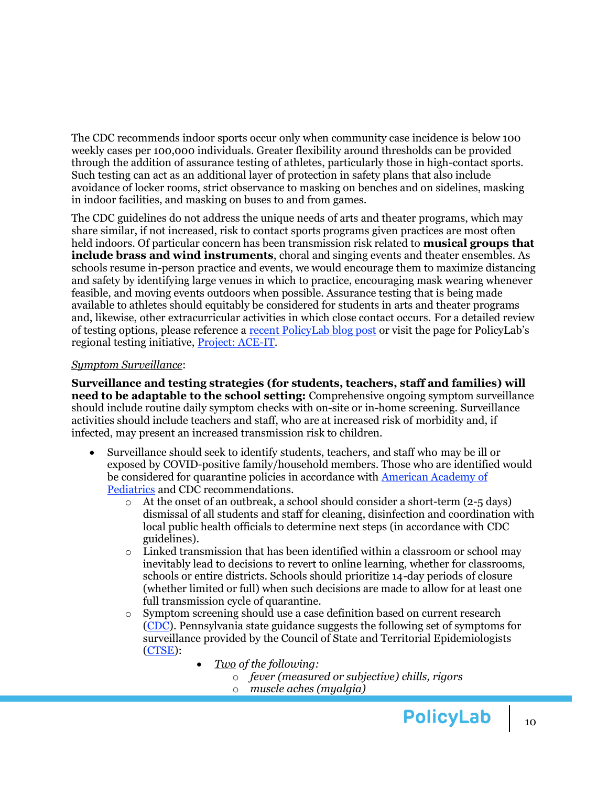The CDC recommends indoor sports occur only when community case incidence is below 100 weekly cases per 100,000 individuals. Greater flexibility around thresholds can be provided through the addition of assurance testing of athletes, particularly those in high-contact sports. Such testing can act as an additional layer of protection in safety plans that also include avoidance of locker rooms, strict observance to masking on benches and on sidelines, masking in indoor facilities, and masking on buses to and from games.

The CDC guidelines do not address the unique needs of arts and theater programs, which may share similar, if not increased, risk to contact sports programs given practices are most often held indoors. Of particular concern has been transmission risk related to **[musical groups that](https://policylab.chop.edu/blog/music-class-guidance-during-covid-19-200-words)  [include brass and wind instruments](https://policylab.chop.edu/blog/music-class-guidance-during-covid-19-200-words)**, choral and singing events and theater ensembles. As schools resume in-person practice and events, we would encourage them to maximize distancing and safety by identifying large venues in which to practice, encouraging mask wearing whenever feasible, and moving events outdoors when possible. Assurance testing that is being made available to athletes should equitably be considered for students in arts and theater programs and, likewise, other extracurricular activities in which close contact occurs. For a detailed review of testing options, please reference a [recent PolicyLab blog post](https://policylab.chop.edu/blog/growing-opportunities-covid-19-testing-programs-us-schools) or visit the page for PolicyLab's regional testing initiative, [Project: ACE-IT.](https://policylab.chop.edu/project/assisting-childhood-education-through-increased-testing-project-ace-it)

#### *Symptom Surveillance*:

**Surveillance and testing strategies (for students, teachers, staff and families) will need to be adaptable to the school setting:** Comprehensive ongoing symptom surveillance should include routine daily symptom checks with on-site or in-home screening. Surveillance activities should include teachers and staff, who are at increased risk of morbidity and, if infected, may present an increased transmission risk to children.

- Surveillance should seek to identify students, teachers, and staff who may be ill or exposed by COVID-positive family/household members. Those who are identified would be considered for quarantine policies in accordance with [American Academy of](https://www.aappublications.org/news/2020/05/05/covid19schoolopening050520)  [Pediatrics](https://www.aappublications.org/news/2020/05/05/covid19schoolopening050520) and CDC recommendations.
	- o At the onset of an outbreak, a school should consider a short-term (2-5 days) dismissal of all students and staff for cleaning, disinfection and coordination with local public health officials to determine next steps (in accordance with CDC guidelines).
	- $\circ$  Linked transmission that has been identified within a classroom or school may inevitably lead to decisions to revert to online learning, whether for classrooms, schools or entire districts. Schools should prioritize 14-day periods of closure (whether limited or full) when such decisions are made to allow for at least one full transmission cycle of quarantine.
	- o Symptom screening should use a case definition based on current research [\(CDC\)](https://cdn.ymaws.com/www.cste.org/resource/resmgr/2020ps/Interim-20-ID-01_COVID-19.pdf). Pennsylvania state guidance suggests the following set of symptoms for surveillance provided by the Council of State and Territorial Epidemiologists [\(CTSE\)](https://cdn.ymaws.com/www.cste.org/resource/resmgr/2020ps/interim-20-id-01_covid-19.pdf):
		- *Two of the following:*
			- o *fever (measured or subjective) chills, rigors*
			- o *muscle aches (myalgia)*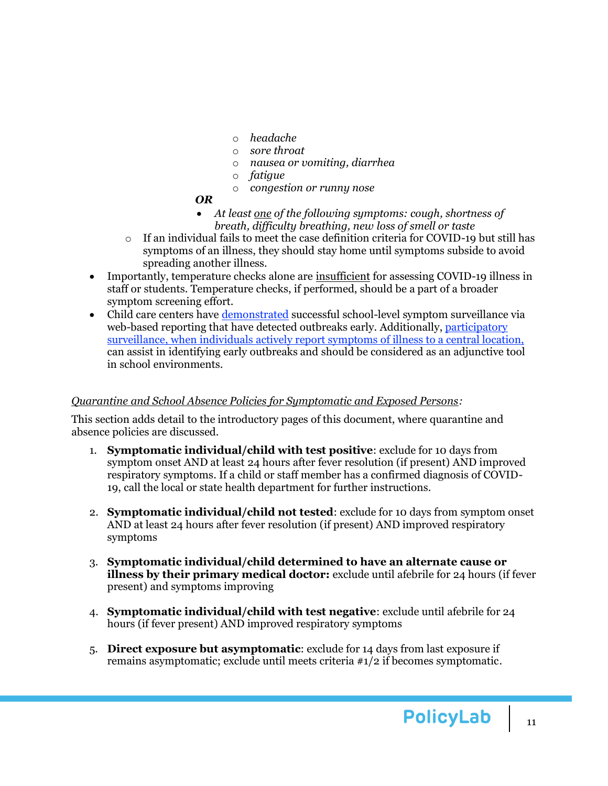- o *headache*
- o *sore throat*
- o *nausea or vomiting, diarrhea*
- o *fatigue*
- o *congestion or runny nose*
- *OR*
- *At least one of the following symptoms: cough, shortness of breath, difficulty breathing, new loss of smell or taste*
- $\circ$  If an individual fails to meet the case definition criteria for COVID-19 but still has symptoms of an illness, they should stay home until symptoms subside to avoid spreading another illness.
- Importantly, temperature checks alone ar[e insufficient](https://services.aap.org/en/pages/2019-novel-coronavirus-covid-19-infections/clinical-guidance/covid-19-planning-considerations-return-to-in-person-education-in-schools/) for assessing COVID-19 illness in staff or students. Temperature checks, if performed, should be a part of a broader symptom screening effort.
- Child care centers have [demonstrated](https://www.ncbi.nlm.nih.gov/pmc/articles/PMC6913116/) successful school-level symptom surveillance via web-based reporting that have detected outbreaks early. Additionally, [participatory](https://theincidentaleconomist.com/wordpress/a-precision-public-health-approach-to-preventing-the-next-covid-19-surge-its-time-to-talk-about-surveillance/)  [surveillance,](https://theincidentaleconomist.com/wordpress/a-precision-public-health-approach-to-preventing-the-next-covid-19-surge-its-time-to-talk-about-surveillance/) when individuals actively report symptoms of illness to a central location, can assist in identifying early outbreaks and should be considered as an adjunctive tool in school environments.

### *Quarantine and School Absence Policies for Symptomatic and Exposed Persons:*

This section adds detail to the introductory pages of this document, where quarantine and absence policies are discussed.

- 1. **Symptomatic individual/child with test positive**: exclude for 10 days from symptom onset AND at least 24 hours after fever resolution (if present) AND improved respiratory symptoms. If a child or staff member has a confirmed diagnosis of COVID-19, call the local or state health department for further instructions.
- 2. **Symptomatic individual/child not tested**: exclude for 10 days from symptom onset AND at least 24 hours after fever resolution (if present) AND improved respiratory symptoms
- 3. **Symptomatic individual/child determined to have an alternate cause or illness by their primary medical doctor:** exclude until afebrile for 24 hours (if fever present) and symptoms improving
- 4. **Symptomatic individual/child with test negative**: exclude until afebrile for 24 hours (if fever present) AND improved respiratory symptoms
- 5. **Direct exposure but asymptomatic**: exclude for 14 days from last exposure if remains asymptomatic; exclude until meets criteria #1/2 if becomes symptomatic.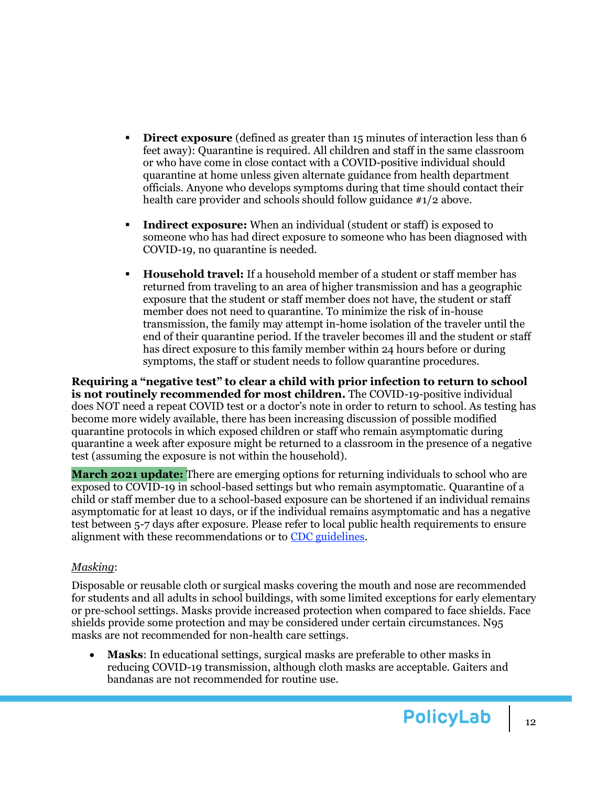- **Direct exposure** (defined as greater than 15 minutes of interaction less than 6 feet away): Quarantine is required. All children and staff in the same classroom or who have come in close contact with a COVID-positive individual should quarantine at home unless given alternate guidance from health department officials. Anyone who develops symptoms during that time should contact their health care provider and schools should follow guidance  $\#1/2$  above.
- **Indirect exposure:** When an individual (student or staff) is exposed to someone who has had direct exposure to someone who has been diagnosed with COVID-19, no quarantine is needed.
- **Household travel:** If a household member of a student or staff member has returned from traveling to an area of higher transmission and has a geographic exposure that the student or staff member does not have, the student or staff member does not need to quarantine. To minimize the risk of in-house transmission, the family may attempt in-home isolation of the traveler until the end of their quarantine period. If the traveler becomes ill and the student or staff has direct exposure to this family member within 24 hours before or during symptoms, the staff or student needs to follow quarantine procedures.

**Requiring a "negative test" to clear a child with prior infection to return to school is not routinely recommended for most children.** The COVID-19-positive individual does NOT need a repeat COVID test or a doctor's note in order to return to school. As testing has become more widely available, there has been increasing discussion of possible modified quarantine protocols in which exposed children or staff who remain asymptomatic during quarantine a week after exposure might be returned to a classroom in the presence of a negative test (assuming the exposure is not within the household).

**March 2021 update:** There are emerging options for returning individuals to school who are exposed to COVID-19 in school-based settings but who remain asymptomatic. Quarantine of a child or staff member due to a school-based exposure can be shortened if an individual remains asymptomatic for at least 10 days, or if the individual remains asymptomatic and has a negative test between 5-7 days after exposure. Please refer to local public health requirements to ensure alignment with these recommendations or to [CDC guidelines.](https://www.cdc.gov/coronavirus/2019-ncov/community/schools-childcare/operation-strategy.html)

### *Masking*:

Disposable or reusable cloth or surgical masks covering the mouth and nose are recommended for students and all adults in school buildings, with some limited exceptions for early elementary or pre-school settings. Masks provide increased protection when compared to face shields. Face shields provide some protection and may be considered under certain circumstances. N95 masks are not recommended for non-health care settings.

• **Masks**: In educational settings, surgical masks are preferable to other masks in reducing COVID-19 transmission, although cloth masks are acceptable. Gaiters and bandanas are not recommended for routine use.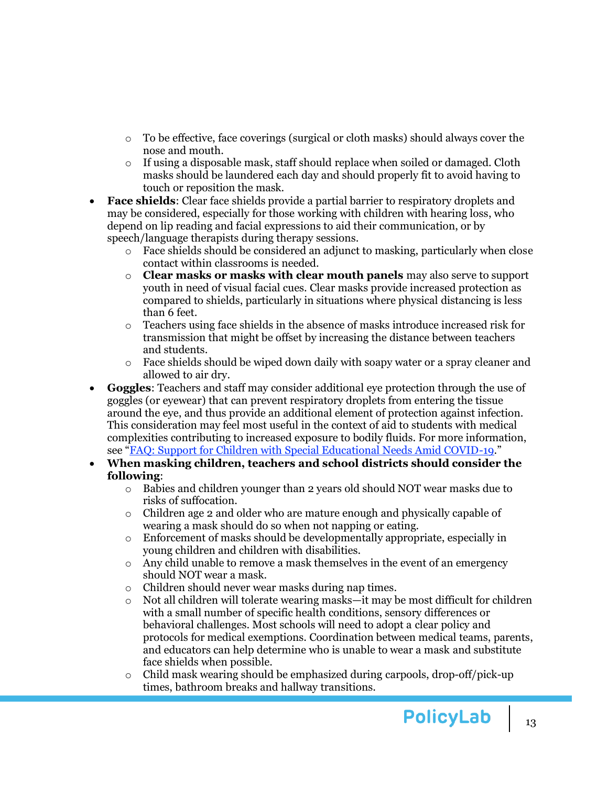- $\circ$  To be effective, face coverings (surgical or cloth masks) should always cover the nose and mouth.
- $\circ$  If using a disposable mask, staff should replace when soiled or damaged. Cloth masks should be laundered each day and should properly fit to avoid having to touch or reposition the mask.
- **Face shields**: Clear face shields provide a partial barrier to respiratory droplets and may be considered, especially for those working with children with hearing loss, who depend on lip reading and facial expressions to aid their communication, or by speech/language therapists during therapy sessions.
	- $\circ$  Face shields should be considered an adjunct to masking, particularly when close contact within classrooms is needed.
	- o **Clear masks or masks with clear mouth panels** may also serve to support youth in need of visual facial cues. Clear masks provide increased protection as compared to shields, particularly in situations where physical distancing is less than 6 feet.
	- o Teachers using face shields in the absence of masks introduce increased risk for transmission that might be offset by increasing the distance between teachers and students.
	- $\circ$  Face shields should be wiped down daily with soapy water or a spray cleaner and allowed to air dry.
- **Goggles**: Teachers and staff may consider additional eye protection through the use of goggles (or eyewear) that can prevent respiratory droplets from entering the tissue around the eye, and thus provide an additional element of protection against infection. This consideration may feel most useful in the context of aid to students with medical complexities contributing to increased exposure to bodily fluids. For more information, see "[FAQ: Support for Children with Special Educational Needs Amid COVID-19](https://policylab.chop.edu/reports-and-tools/faq-support-children-special-educational-needs-amid-covid-19)."
- **When masking children, teachers and school districts should consider the following**:
	- $\circ$  Babies and children younger than 2 years old should NOT wear masks due to risks of suffocation.
	- $\circ$  Children age 2 and older who are mature enough and physically capable of wearing a mask should do so when not napping or eating.
	- o Enforcement of masks should be developmentally appropriate, especially in young children and children with disabilities.
	- $\circ$  Any child unable to remove a mask themselves in the event of an emergency should NOT wear a mask.
	- o Children should never wear masks during nap times.
	- o Not all children will tolerate wearing masks—it may be most difficult for children with a small number of specific health conditions, sensory differences or behavioral challenges. Most schools will need to adopt a clear policy and protocols for medical exemptions. Coordination between medical teams, parents, and educators can help determine who is unable to wear a mask and substitute face shields when possible.
	- $\circ$  Child mask wearing should be emphasized during carpools, drop-off/pick-up times, bathroom breaks and hallway transitions.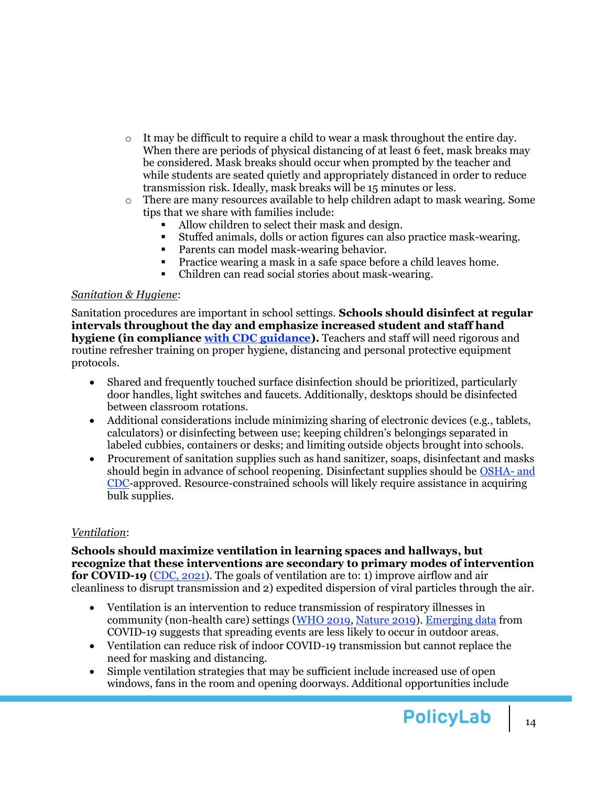- $\circ$  It may be difficult to require a child to wear a mask throughout the entire day. When there are periods of physical distancing of at least 6 feet, mask breaks may be considered. Mask breaks should occur when prompted by the teacher and while students are seated quietly and appropriately distanced in order to reduce transmission risk. Ideally, mask breaks will be 15 minutes or less.
- $\circ$  There are many resources available to help children adapt to mask wearing. Some tips that we share with families include:
	- Allow children to select their mask and design.
	- Stuffed animals, dolls or action figures can also practice mask-wearing.
	- Parents can model mask-wearing behavior.
	- Practice wearing a mask in a safe space before a child leaves home.
	- Children can read social stories about mask-wearing.

#### *Sanitation & Hygiene*:

Sanitation procedures are important in school settings. **Schools should disinfect at regular intervals throughout the day and emphasize increased student and staff hand hygiene (in compliance [with CDC guidance\)](https://www.cdc.gov/coronavirus/2019-ncov/community/schools-childcare/guidance-for-schools.html).** Teachers and staff will need rigorous and routine refresher training on proper hygiene, distancing and personal protective equipment protocols.

- Shared and frequently touched surface disinfection should be prioritized, particularly door handles, light switches and faucets. Additionally, desktops should be disinfected between classroom rotations.
- Additional considerations include minimizing sharing of electronic devices (e.g., tablets, calculators) or disinfecting between use; keeping children's belongings separated in labeled cubbies, containers or desks; and limiting outside objects brought into schools.
- Procurement of sanitation supplies such as hand sanitizer, soaps, disinfectant and masks should begin in advance of school reopening. Disinfectant supplies should be [OSHA-](https://www.epa.gov/pesticide-registration/list-n-disinfectants-use-against-sars-cov-2) and [CDC-](https://www.epa.gov/pesticide-registration/list-n-disinfectants-use-against-sars-cov-2)approved. Resource-constrained schools will likely require assistance in acquiring bulk supplies.

#### *Ventilation*:

**Schools should maximize ventilation in learning spaces and hallways, but recognize that these interventions are secondary to primary modes of intervention for COVID-19** [\(CDC, 2021\)](https://www.cdc.gov/coronavirus/2019-ncov/community/schools-childcare/operation-strategy.html). The goals of ventilation are to: 1) improve airflow and air cleanliness to disrupt transmission and 2) expedited dispersion of viral particles through the air.

- Ventilation is an intervention to reduce transmission of respiratory illnesses in community (non-health care) settings [\(WHO 2019,](https://apps.who.int/iris/handle/10665/329439) [Nature 2019\)](https://www.nature.com/articles/s41598-019-38825-y). [Emerging data](https://www.medrxiv.org/content/10.1101/2020.04.04.20053058v1) from COVID-19 suggests that spreading events are less likely to occur in outdoor areas.
- Ventilation can reduce risk of indoor COVID-19 transmission but cannot replace the need for masking and distancing.
- Simple ventilation strategies that may be sufficient include increased use of open windows, fans in the room and opening doorways. Additional opportunities include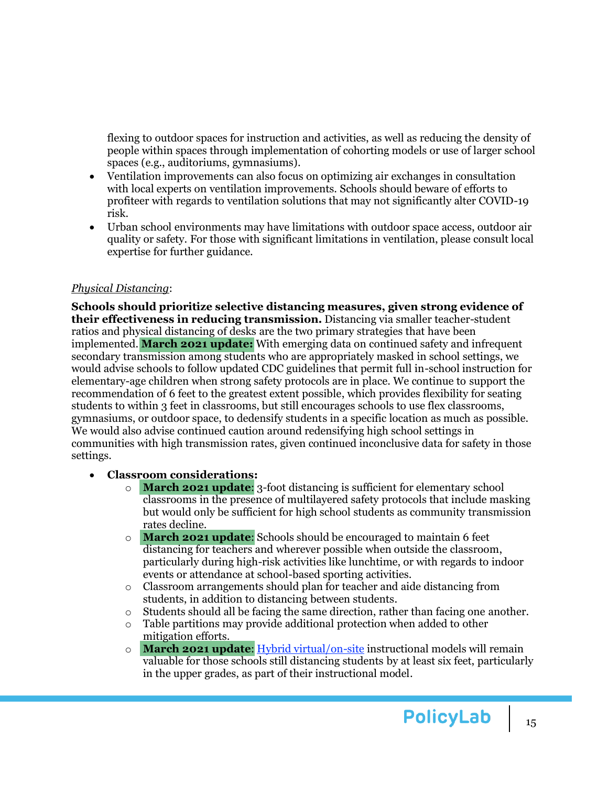flexing to outdoor spaces for instruction and activities, as well as reducing the density of people within spaces through implementation of cohorting models or use of larger school spaces (e.g., auditoriums, gymnasiums).

- Ventilation improvements can also focus on optimizing air exchanges in consultation with local experts on ventilation improvements. Schools should beware of efforts to profiteer with regards to ventilation solutions that may not significantly alter COVID-19 risk.
- Urban school environments may have limitations with outdoor space access, outdoor air quality or safety. For those with significant limitations in ventilation, please consult local expertise for further guidance.

### *Physical Distancing*:

**Schools should prioritize selective distancing measures, given strong evidence of their effectiveness in reducing transmission.** Distancing via smaller teacher-student ratios and physical distancing of desks are the two primary strategies that have been implemented. **March 2021 update:** With emerging data on continued safety and infrequent secondary transmission among students who are appropriately masked in school settings, we would advise schools to follow updated CDC guidelines that permit full in-school instruction for elementary-age children when strong safety protocols are in place. We continue to support the recommendation of 6 feet to the greatest extent possible, which provides flexibility for seating students to within 3 feet in classrooms, but still encourages schools to use flex classrooms, gymnasiums, or outdoor space, to dedensify students in a specific location as much as possible. We would also advise continued caution around redensifying high school settings in communities with high transmission rates, given continued inconclusive data for safety in those settings.

#### • **Classroom considerations:**

- o **March 2021 update**: 3-foot distancing is sufficient for elementary school classrooms in the presence of multilayered safety protocols that include masking but would only be sufficient for high school students as community transmission rates decline.
- o **March 2021 update**: Schools should be encouraged to maintain 6 feet distancing for teachers and wherever possible when outside the classroom, particularly during high-risk activities like lunchtime, or with regards to indoor events or attendance at school-based sporting activities.
- o Classroom arrangements should plan for teacher and aide distancing from students, in addition to distancing between students.
- $\circ$  Students should all be facing the same direction, rather than facing one another.
- o Table partitions may provide additional protection when added to other mitigation efforts.
- o **March 2021 update**[: Hybrid virtual/on-site](https://www.colorado.edu/assett/faculty-resources/resources/hybrid-course-design) instructional models will remain valuable for those schools still distancing students by at least six feet, particularly in the upper grades, as part of their instructional model.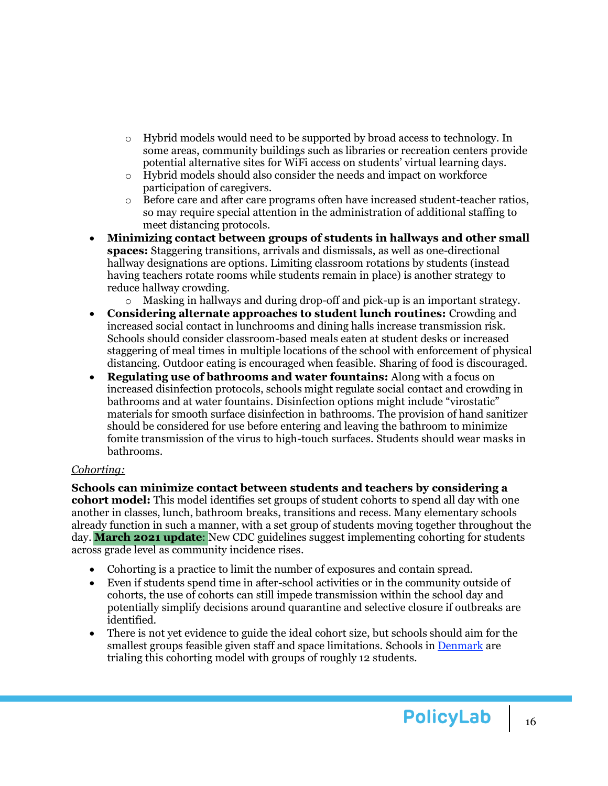- o Hybrid models would need to be supported by broad access to technology. In some areas, community buildings such as libraries or recreation centers provide potential alternative sites for WiFi access on students' virtual learning days.
- o Hybrid models should also consider the needs and impact on workforce participation of caregivers.
- o Before care and after care programs often have increased student-teacher ratios, so may require special attention in the administration of additional staffing to meet distancing protocols.
- **Minimizing contact between groups of students in hallways and other small spaces:** Staggering transitions, arrivals and dismissals, as well as one-directional hallway designations are options. Limiting classroom rotations by students (instead having teachers rotate rooms while students remain in place) is another strategy to reduce hallway crowding.
	- o Masking in hallways and during drop-off and pick-up is an important strategy.
- **Considering alternate approaches to student lunch routines:** Crowding and increased social contact in lunchrooms and dining halls increase transmission risk. Schools should consider classroom-based meals eaten at student desks or increased staggering of meal times in multiple locations of the school with enforcement of physical distancing. Outdoor eating is encouraged when feasible. Sharing of food is discouraged.
- **Regulating use of bathrooms and water fountains:** Along with a focus on increased disinfection protocols, schools might regulate social contact and crowding in bathrooms and at water fountains. Disinfection options might include "virostatic" materials for smooth surface disinfection in bathrooms. The provision of hand sanitizer should be considered for use before entering and leaving the bathroom to minimize fomite transmission of the virus to high-touch surfaces. Students should wear masks in bathrooms.

#### *Cohorting:*

**Schools can minimize contact between students and teachers by considering a cohort model:** This model identifies set groups of student cohorts to spend all day with one another in classes, lunch, bathroom breaks, transitions and recess. Many elementary schools already function in such a manner, with a set group of students moving together throughout the day. **March 2021 update**: New CDC guidelines suggest implementing cohorting for students across grade level as community incidence rises.

- Cohorting is a practice to limit the number of exposures and contain spread.
- Even if students spend time in after-school activities or in the community outside of cohorts, the use of cohorts can still impede transmission within the school day and potentially simplify decisions around quarantine and selective closure if outbreaks are identified.
- There is not yet evidence to guide the ideal cohort size, but schools should aim for the smallest groups feasible given staff and space limitations. Schools i[n Denmark](https://www.bbc.com/news/education-52550470) are trialing this cohorting model with groups of roughly 12 students.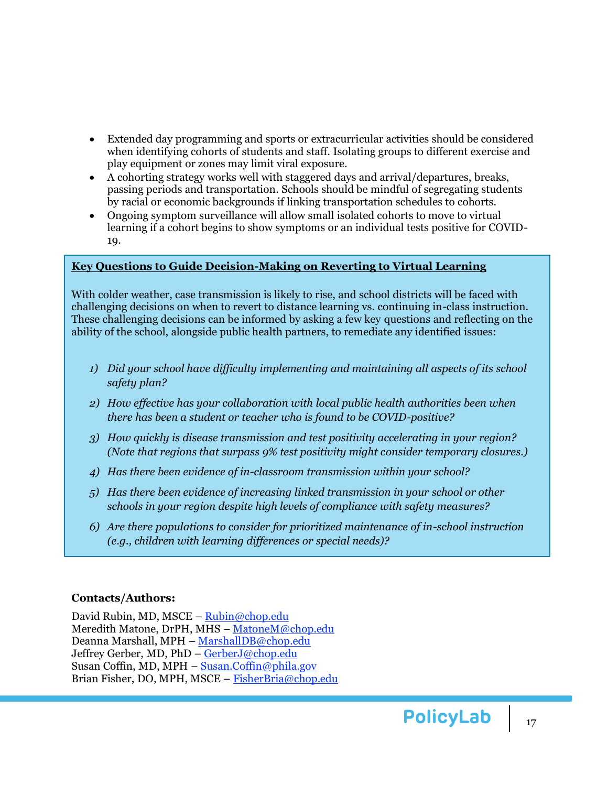- Extended day programming and sports or extracurricular activities should be considered when identifying cohorts of students and staff. Isolating groups to different exercise and play equipment or zones may limit viral exposure.
- A cohorting strategy works well with staggered days and arrival/departures, breaks, passing periods and transportation. Schools should be mindful of segregating students by racial or economic backgrounds if linking transportation schedules to cohorts.
- Ongoing symptom surveillance will allow small isolated cohorts to move to virtual learning if a cohort begins to show symptoms or an individual tests positive for COVID-19.

#### <span id="page-16-0"></span>**Key Questions to Guide Decision-Making on Reverting to Virtual Learning**

With colder weather, case transmission is likely to rise, and school districts will be faced with challenging decisions on when to revert to distance learning vs. continuing in-class instruction. These challenging decisions can be informed by asking a few key questions and reflecting on the ability of the school, alongside public health partners, to remediate any identified issues:

- *1) Did your school have difficulty implementing and maintaining all aspects of its school safety plan?*
- *2) How effective has your collaboration with local public health authorities been when there has been a student or teacher who is found to be COVID-positive?*
- *3) How quickly is disease transmission and test positivity accelerating in your region? (Note that regions that surpass 9% test positivity might consider temporary closures.)*
- *4) Has there been evidence of in-classroom transmission within your school?*
- *5) Has there been evidence of increasing linked transmission in your school or other schools in your region despite high levels of compliance with safety measures?*
- *6) Are there populations to consider for prioritized maintenance of in-school instruction (e.g., children with learning differences or special needs)?*

### **Contacts/Authors:**

David Rubin, MD, MSCE – [Rubin@chop.edu](mailto:Rubin@chop.edu) Meredith Matone, DrPH, MHS – [MatoneM@chop.edu](mailto:MatoneM@chop.edu) Deanna Marshall, MPH – [MarshallDB@chop.edu](mailto:MarshallDB@chop.edu) Jeffrey Gerber, MD, PhD – [GerberJ@chop.edu](mailto:GerberJ@chop.edu) Susan Coffin, MD, MPH – [Susan.Coffin@phila.gov](mailto:Susan.Coffin@phila.gov) Brian Fisher, DO, MPH, MSCE – [FisherBria@chop.edu](mailto:FisherBria@chop.edu)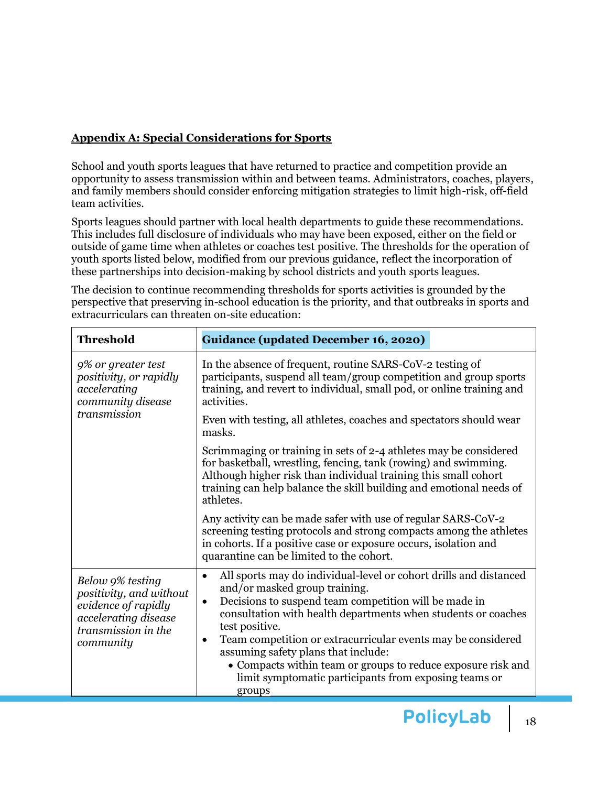#### <span id="page-17-0"></span>**Appendix A: Special Considerations for Sports**

School and youth sports leagues that have returned to practice and competition provide an opportunity to assess transmission within and between teams. Administrators, coaches, players, and family members should consider enforcing mitigation strategies to limit high-risk, off-field team activities.

Sports leagues should partner with local health departments to guide these recommendations. This includes full disclosure of individuals who may have been exposed, either on the field or outside of game time when athletes or coaches test positive. The thresholds for the operation of youth sports listed below, modified from our previous guidance, reflect the incorporation of these partnerships into decision-making by school districts and youth sports leagues.

The decision to continue recommending thresholds for sports activities is grounded by the perspective that preserving in-school education is the priority, and that outbreaks in sports and extracurriculars can threaten on-site education:

| <b>Threshold</b>                                                                                                               | <b>Guidance (updated December 16, 2020)</b>                                                                                                                                                                                                                                                                                                                                                                                                                                                                                     |  |  |
|--------------------------------------------------------------------------------------------------------------------------------|---------------------------------------------------------------------------------------------------------------------------------------------------------------------------------------------------------------------------------------------------------------------------------------------------------------------------------------------------------------------------------------------------------------------------------------------------------------------------------------------------------------------------------|--|--|
| 9% or greater test<br>positivity, or rapidly<br>accelerating<br>community disease<br>transmission                              | In the absence of frequent, routine SARS-CoV-2 testing of<br>participants, suspend all team/group competition and group sports<br>training, and revert to individual, small pod, or online training and<br>activities.                                                                                                                                                                                                                                                                                                          |  |  |
|                                                                                                                                | Even with testing, all athletes, coaches and spectators should wear<br>masks.                                                                                                                                                                                                                                                                                                                                                                                                                                                   |  |  |
|                                                                                                                                | Scrimmaging or training in sets of 2-4 athletes may be considered<br>for basketball, wrestling, fencing, tank (rowing) and swimming.<br>Although higher risk than individual training this small cohort<br>training can help balance the skill building and emotional needs of<br>athletes.                                                                                                                                                                                                                                     |  |  |
|                                                                                                                                | Any activity can be made safer with use of regular SARS-CoV-2<br>screening testing protocols and strong compacts among the athletes<br>in cohorts. If a positive case or exposure occurs, isolation and<br>quarantine can be limited to the cohort.                                                                                                                                                                                                                                                                             |  |  |
| Below 9% testing<br>positivity, and without<br>evidence of rapidly<br>accelerating disease<br>transmission in the<br>community | All sports may do individual-level or cohort drills and distanced<br>$\bullet$<br>and/or masked group training.<br>Decisions to suspend team competition will be made in<br>$\bullet$<br>consultation with health departments when students or coaches<br>test positive.<br>Team competition or extracurricular events may be considered<br>$\bullet$<br>assuming safety plans that include:<br>• Compacts within team or groups to reduce exposure risk and<br>limit symptomatic participants from exposing teams or<br>groups |  |  |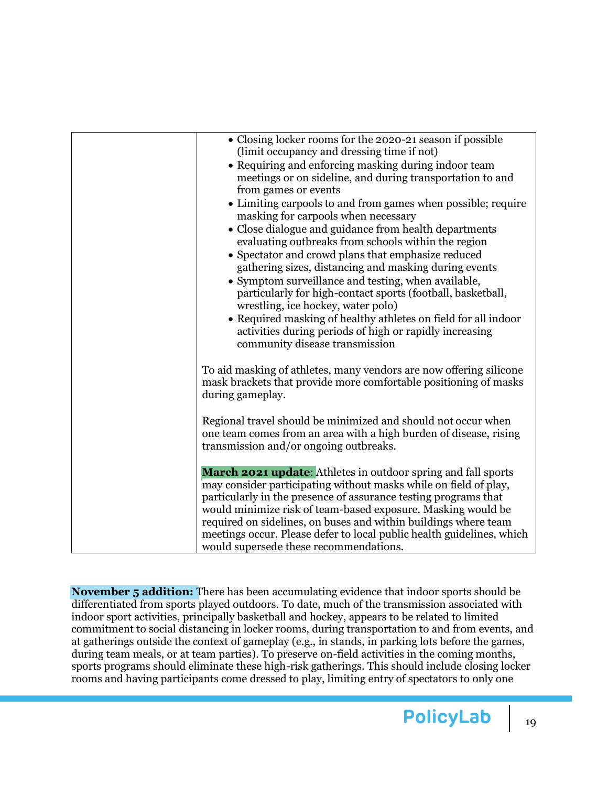| • Closing locker rooms for the 2020-21 season if possible<br>(limit occupancy and dressing time if not)<br>• Requiring and enforcing masking during indoor team<br>meetings or on sideline, and during transportation to and<br>from games or events<br>• Limiting carpools to and from games when possible; require<br>masking for carpools when necessary<br>• Close dialogue and guidance from health departments<br>evaluating outbreaks from schools within the region<br>• Spectator and crowd plans that emphasize reduced<br>gathering sizes, distancing and masking during events<br>• Symptom surveillance and testing, when available,<br>particularly for high-contact sports (football, basketball,<br>wrestling, ice hockey, water polo)<br>• Required masking of healthy athletes on field for all indoor<br>activities during periods of high or rapidly increasing<br>community disease transmission |
|-----------------------------------------------------------------------------------------------------------------------------------------------------------------------------------------------------------------------------------------------------------------------------------------------------------------------------------------------------------------------------------------------------------------------------------------------------------------------------------------------------------------------------------------------------------------------------------------------------------------------------------------------------------------------------------------------------------------------------------------------------------------------------------------------------------------------------------------------------------------------------------------------------------------------|
| To aid masking of athletes, many vendors are now offering silicone<br>mask brackets that provide more comfortable positioning of masks<br>during gameplay.                                                                                                                                                                                                                                                                                                                                                                                                                                                                                                                                                                                                                                                                                                                                                            |
| Regional travel should be minimized and should not occur when<br>one team comes from an area with a high burden of disease, rising<br>transmission and/or ongoing outbreaks.                                                                                                                                                                                                                                                                                                                                                                                                                                                                                                                                                                                                                                                                                                                                          |
| March 2021 update: Athletes in outdoor spring and fall sports<br>may consider participating without masks while on field of play,<br>particularly in the presence of assurance testing programs that<br>would minimize risk of team-based exposure. Masking would be<br>required on sidelines, on buses and within buildings where team<br>meetings occur. Please defer to local public health guidelines, which<br>would supersede these recommendations.                                                                                                                                                                                                                                                                                                                                                                                                                                                            |

**November 5 addition:** There has been accumulating evidence that indoor sports should be differentiated from sports played outdoors. To date, much of the transmission associated with indoor sport activities, principally basketball and hockey, appears to be related to limited commitment to social distancing in locker rooms, during transportation to and from events, and at gatherings outside the context of gameplay (e.g., in stands, in parking lots before the games, during team meals, or at team parties). To preserve on-field activities in the coming months, sports programs should eliminate these high-risk gatherings. This should include closing locker rooms and having participants come dressed to play, limiting entry of spectators to only one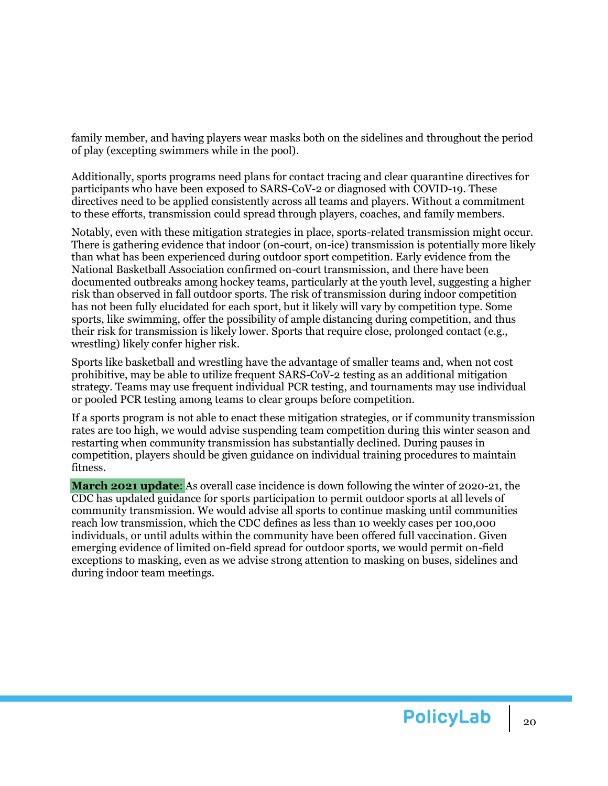family member, and having players wear masks both on the sidelines and throughout the period of play (excepting swimmers while in the pool).

Additionally, sports programs need plans for contact tracing and clear quarantine directives for participants who have been exposed to SARS-CoV-2 or diagnosed with COVID-19. These directives need to be applied consistently across all teams and players. Without a commitment to these efforts, transmission could spread through players, coaches, and family members.

Notably, even with these mitigation strategies in place, sports-related transmission might occur. There is gathering evidence that indoor (on-court, on-ice) transmission is potentially more likely than what has been experienced during outdoor sport competition. Early evidence from the National Basketball Association confirmed on-court transmission, and there have been documented outbreaks among hockey teams, particularly at the youth level, suggesting a higher risk than observed in fall outdoor sports. The risk of transmission during indoor competition has not been fully elucidated for each sport, but it likely will vary by competition type. Some sports, like swimming, offer the possibility of ample distancing during competition, and thus their risk for transmission is likely lower. Sports that require close, prolonged contact (e.g., wrestling) likely confer higher risk.

Sports like basketball and wrestling have the advantage of smaller teams and, when not cost prohibitive, may be able to utilize frequent SARS-CoV-2 testing as an additional mitigation strategy. Teams may use frequent individual PCR testing, and tournaments may use individual or pooled PCR testing among teams to clear groups before competition.

If a sports program is not able to enact these mitigation strategies, or if community transmission rates are too high, we would advise suspending team competition during this winter season and restarting when community transmission has substantially declined. During pauses in competition, players should be given guidance on individual training procedures to maintain fitness.

**March 2021 update**: As overall case incidence is down following the winter of 2020-21, the CDC has updated guidance for sports participation to permit outdoor sports at all levels of community transmission. We would advise all sports to continue masking until communities reach low transmission, which the CDC defines as less than 10 weekly cases per 100,000 individuals, or until adults within the community have been offered full vaccination. Given emerging evidence of limited on-field spread for outdoor sports, we would permit on-field exceptions to masking, even as we advise strong attention to masking on buses, sidelines and during indoor team meetings.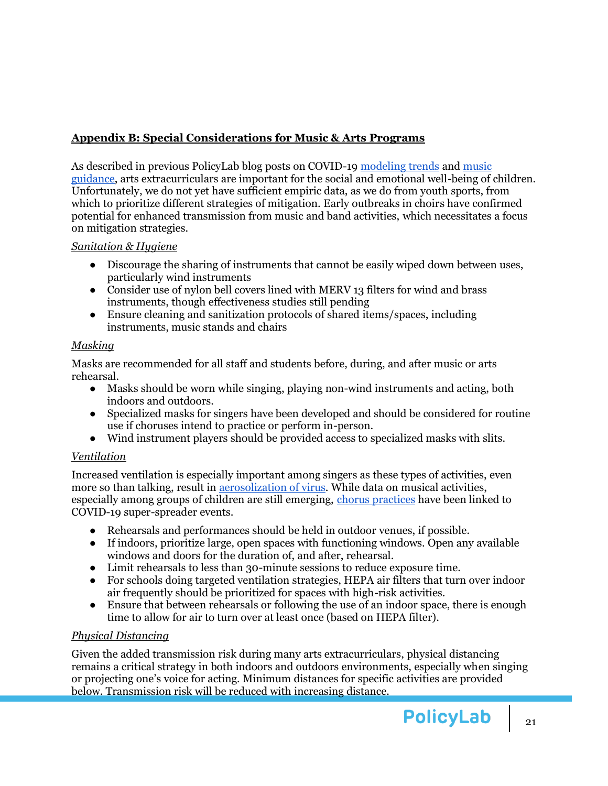## <span id="page-20-0"></span>**Appendix B: Special Considerations for Music & Arts Programs**

As described in previous PolicyLab blog posts on COVID-19 [modeling trends](https://policylab.chop.edu/blog/covid-19-outlook-time-preserve-our-school-reopenings-new-wave-moves) and [music](https://policylab.chop.edu/blog/music-class-guidance-during-covid-19-200-words)  [guidance,](https://policylab.chop.edu/blog/music-class-guidance-during-covid-19-200-words) arts extracurriculars are important for the social and emotional well-being of children. Unfortunately, we do not yet have sufficient empiric data, as we do from youth sports, from which to prioritize different strategies of mitigation. Early outbreaks in choirs have confirmed potential for enhanced transmission from music and band activities, which necessitates a focus on mitigation strategies.

### *Sanitation & Hygiene*

- Discourage the sharing of instruments that cannot be easily wiped down between uses, particularly wind instruments
- Consider use of nylon bell covers lined with MERV 13 filters for wind and brass instruments, though effectiveness studies still pending
- Ensure cleaning and sanitization protocols of shared items/spaces, including instruments, music stands and chairs

### *Masking*

Masks are recommended for all staff and students before, during, and after music or arts rehearsal.

- Masks should be worn while singing, playing non-wind instruments and acting, both indoors and outdoors.
- Specialized masks for singers have been developed and should be considered for routine use if choruses intend to practice or perform in-person.
- Wind instrument players should be provided access to specialized masks with slits.

## *Ventilation*

Increased ventilation is especially important among singers as these types of activities, even more so than talking, result in aerosolization of virus. While data on musical activities, especially among groups of children are still emerging, [chorus practices](https://www.cdc.gov/mmwr/volumes/69/wr/pdfs/mm6919e6-H.pdf) have been linked to COVID-19 super-spreader events.

- Rehearsals and performances should be held in outdoor venues, if possible.
- If indoors, prioritize large, open spaces with functioning windows. Open any available windows and doors for the duration of, and after, rehearsal.
- Limit rehearsals to less than 30-minute sessions to reduce exposure time.
- For schools doing targeted ventilation strategies, HEPA air filters that turn over indoor air frequently should be prioritized for spaces with high-risk activities.
- Ensure that between rehearsals or following the use of an indoor space, there is enough time to allow for air to turn over at least once (based on HEPA filter).

# *Physical Distancing*

Given the added transmission risk during many arts extracurriculars, physical distancing remains a critical strategy in both indoors and outdoors environments, especially when singing or projecting one's voice for acting. Minimum distances for specific activities are provided below. Transmission risk will be reduced with increasing distance.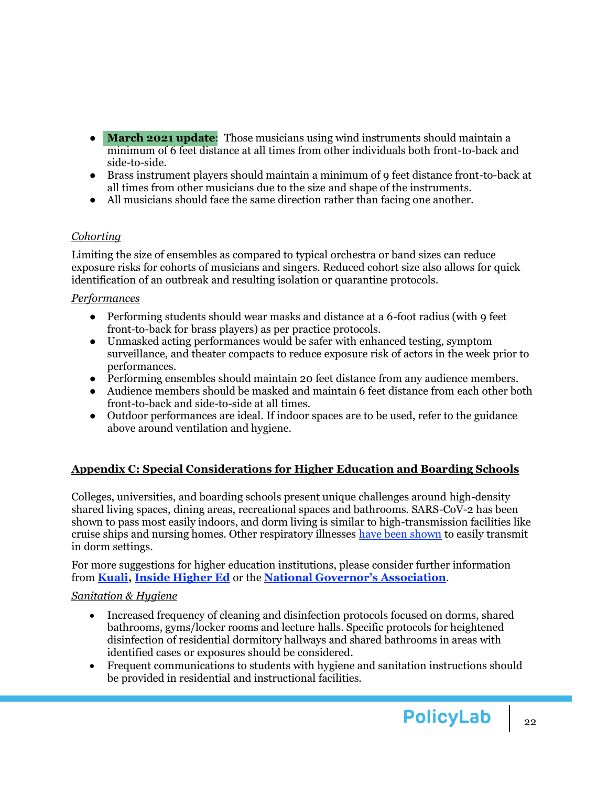- **March 2021 update**: Those musicians using wind instruments should maintain a minimum of 6 feet distance at all times from other individuals both front-to-back and side-to-side.
- Brass instrument players should maintain a minimum of 9 feet distance front-to-back at all times from other musicians due to the size and shape of the instruments.
- All musicians should face the same direction rather than facing one another.

### *Cohorting*

Limiting the size of ensembles as compared to typical orchestra or band sizes can reduce exposure risks for cohorts of musicians and singers. Reduced cohort size also allows for quick identification of an outbreak and resulting isolation or quarantine protocols.

### *Performances*

- Performing students should wear masks and distance at a 6-foot radius (with 9 feet front-to-back for brass players) as per practice protocols.
- Unmasked acting performances would be safer with enhanced testing, symptom surveillance, and theater compacts to reduce exposure risk of actors in the week prior to performances.
- Performing ensembles should maintain 20 feet distance from any audience members.
- Audience members should be masked and maintain 6 feet distance from each other both front-to-back and side-to-side at all times.
- Outdoor performances are ideal. If indoor spaces are to be used, refer to the guidance above around ventilation and hygiene.

## <span id="page-21-0"></span>**Appendix C: Special Considerations for Higher Education and Boarding Schools**

Colleges, universities, and boarding schools present unique challenges around high-density shared living spaces, dining areas, recreational spaces and bathrooms. SARS-CoV-2 has been shown to pass most easily indoors, and dorm living is similar to high-transmission facilities like cruise ships and nursing homes. Other respiratory illnesses [have been shown](https://journals.plos.org/plosone/article?id=10.1371/journal.pone.0012948#s2) to easily transmit in dorm settings.

For more suggestions for higher education institutions, please consider further information from **[Kuali,](https://www.kuali.co/resource/higher-ed-return-to-campus-guide) [Inside Higher Ed](https://www.insidehighered.com/digital-learning/blogs/learning-innovation/15-fall-scenarios)** or the **[National Governor's Association](https://www.nga.org/coronavirus/#resPostSec)**.

## *Sanitation & Hygiene*

- Increased frequency of cleaning and disinfection protocols focused on dorms, shared bathrooms, gyms/locker rooms and lecture halls. Specific protocols for heightened disinfection of residential dormitory hallways and shared bathrooms in areas with identified cases or exposures should be considered.
- Frequent communications to students with hygiene and sanitation instructions should be provided in residential and instructional facilities.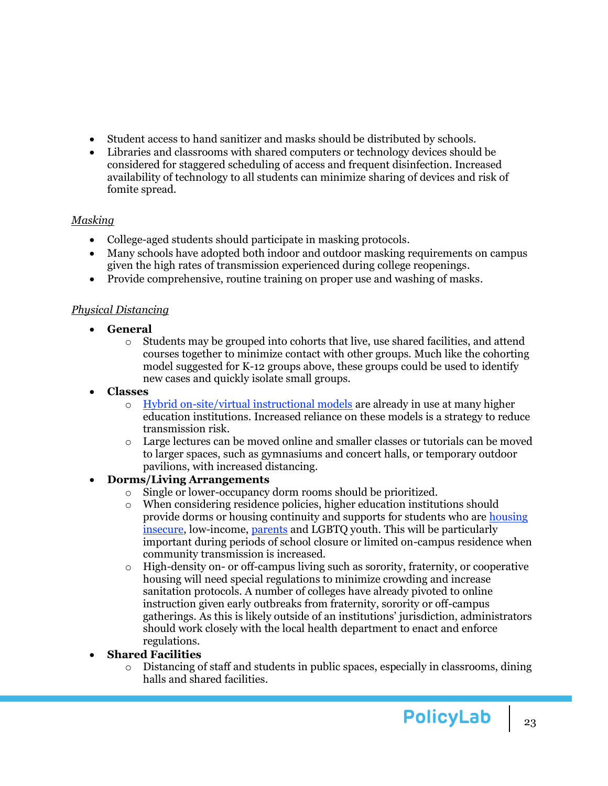- Student access to hand sanitizer and masks should be distributed by schools.
- Libraries and classrooms with shared computers or technology devices should be considered for staggered scheduling of access and frequent disinfection. Increased availability of technology to all students can minimize sharing of devices and risk of fomite spread.

### *Masking*

- College-aged students should participate in masking protocols.
- Many schools have adopted both indoor and outdoor masking requirements on campus given the high rates of transmission experienced during college reopenings.
- Provide comprehensive, routine training on proper use and washing of masks.

### *Physical Distancing*

- **General** 
	- $\circ$  Students may be grouped into cohorts that live, use shared facilities, and attend courses together to minimize contact with other groups. Much like the cohorting model suggested for K-12 groups above, these groups could be used to identify new cases and quickly isolate small groups.
- **Classes**
	- o [Hybrid on-site/virtual instructional models](https://www.colorado.edu/assett/faculty-resources/resources/hybrid-course-design) are already in use at many higher education institutions. Increased reliance on these models is a strategy to reduce transmission risk.
	- o Large lectures can be moved online and smaller classes or tutorials can be moved to larger spaces, such as gymnasiums and concert halls, or temporary outdoor pavilions, with increased distancing.

## • **Dorms/Living Arrangements**

- o Single or lower-occupancy dorm rooms should be prioritized.
- $\circ$  When considering residence policies, higher education institutions should provide dorms or housing continuity and supports for students who ar[e housing](https://hope4college.com/wp-content/uploads/2020/02/2019_RealCollege_Survey_Report.pdf)  [insecure,](https://hope4college.com/wp-content/uploads/2020/02/2019_RealCollege_Survey_Report.pdf) low-income, [parents](https://iwpr.org/publications/parents-college-numbers/) and LGBTQ youth. This will be particularly important during periods of school closure or limited on-campus residence when community transmission is increased.
- o High-density on- or off-campus living such as sorority, fraternity, or cooperative housing will need special regulations to minimize crowding and increase sanitation protocols. A number of colleges have already pivoted to online instruction given early outbreaks from fraternity, sorority or off-campus gatherings. As this is likely outside of an institutions' jurisdiction, administrators should work closely with the local health department to enact and enforce regulations.
- **Shared Facilities**
	- o Distancing of staff and students in public spaces, especially in classrooms, dining halls and shared facilities.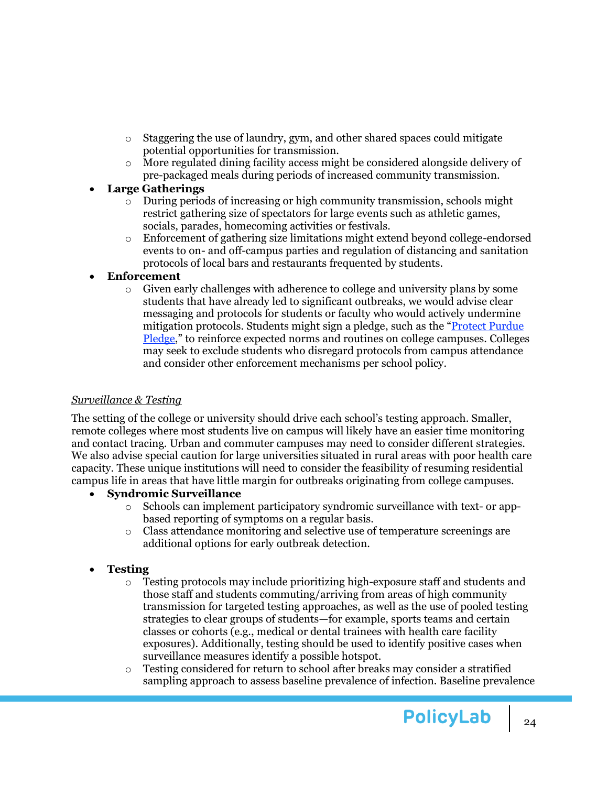- $\circ$  Staggering the use of laundry, gym, and other shared spaces could mitigate potential opportunities for transmission.
- o More regulated dining facility access might be considered alongside delivery of pre-packaged meals during periods of increased community transmission.

### • **Large Gatherings**

- o During periods of increasing or high community transmission, schools might restrict gathering size of spectators for large events such as athletic games, socials, parades, homecoming activities or festivals.
- o Enforcement of gathering size limitations might extend beyond college-endorsed events to on- and off-campus parties and regulation of distancing and sanitation protocols of local bars and restaurants frequented by students.

### • **Enforcement**

o Given early challenges with adherence to college and university plans by some students that have already led to significant outbreaks, we would advise clear messaging and protocols for students or faculty who would actively undermine mitigation protocols. Students might sign a pledge, such as the "[Protect Purdue](https://protect.purdue.edu/pledge/)  [Pledge](https://protect.purdue.edu/pledge/)," to reinforce expected norms and routines on college campuses. Colleges may seek to exclude students who disregard protocols from campus attendance and consider other enforcement mechanisms per school policy.

### *Surveillance & Testing*

The setting of the college or university should drive each school's testing approach. Smaller, remote colleges where most students live on campus will likely have an easier time monitoring and contact tracing. Urban and commuter campuses may need to consider different strategies. We also advise special caution for large universities situated in rural areas with poor health care capacity. These unique institutions will need to consider the feasibility of resuming residential campus life in areas that have little margin for outbreaks originating from college campuses.

## • **Syndromic Surveillance**

- o Schools can implement participatory syndromic surveillance with text- or appbased reporting of symptoms on a regular basis.
- o Class attendance monitoring and selective use of temperature screenings are additional options for early outbreak detection.

## • **Testing**

- $\circ$  Testing protocols may include prioritizing high-exposure staff and students and those staff and students commuting/arriving from areas of high community transmission for targeted testing approaches, as well as the use of pooled testing strategies to clear groups of students—for example, sports teams and certain classes or cohorts (e.g., medical or dental trainees with health care facility exposures). Additionally, testing should be used to identify positive cases when surveillance measures identify a possible hotspot.
- $\circ$  Testing considered for return to school after breaks may consider a stratified sampling approach to assess baseline prevalence of infection. Baseline prevalence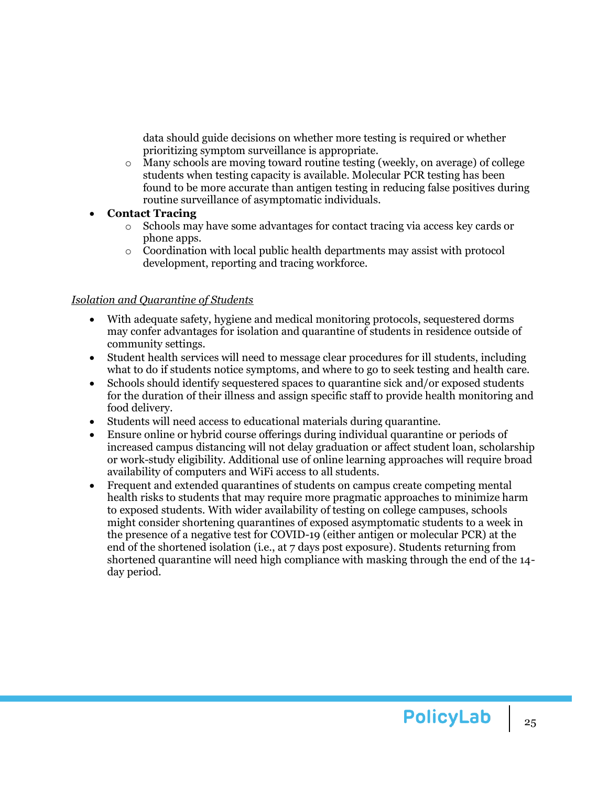data should guide decisions on whether more testing is required or whether prioritizing symptom surveillance is appropriate.

- o Many schools are moving toward routine testing (weekly, on average) of college students when testing capacity is available. Molecular PCR testing has been found to be more accurate than antigen testing in reducing false positives during routine surveillance of asymptomatic individuals.
- **Contact Tracing**
	- o Schools may have some advantages for contact tracing via access key cards or phone apps.
	- $\circ$  Coordination with local public health departments may assist with protocol development, reporting and tracing workforce.

#### *Isolation and Quarantine of Students*

- With adequate safety, hygiene and medical monitoring protocols, sequestered dorms may confer advantages for isolation and quarantine of students in residence outside of community settings.
- Student health services will need to message clear procedures for ill students, including what to do if students notice symptoms, and where to go to seek testing and health care.
- Schools should identify sequestered spaces to quarantine sick and/or exposed students for the duration of their illness and assign specific staff to provide health monitoring and food delivery.
- Students will need access to educational materials during quarantine.
- Ensure online or hybrid course offerings during individual quarantine or periods of increased campus distancing will not delay graduation or affect student loan, scholarship or work-study eligibility. Additional use of online learning approaches will require broad availability of [computers](https://www.sciencedaily.com/releases/2018/09/180919100950.htm) and WiFi access to all students.
- Frequent and extended quarantines of students on campus create competing mental health risks to students that may require more pragmatic approaches to minimize harm to exposed students. With wider availability of testing on college campuses, schools might consider shortening quarantines of exposed asymptomatic students to a week in the presence of a negative test for COVID-19 (either antigen or molecular PCR) at the end of the shortened isolation (i.e., at 7 days post exposure). Students returning from shortened quarantine will need high compliance with masking through the end of the 14 day period.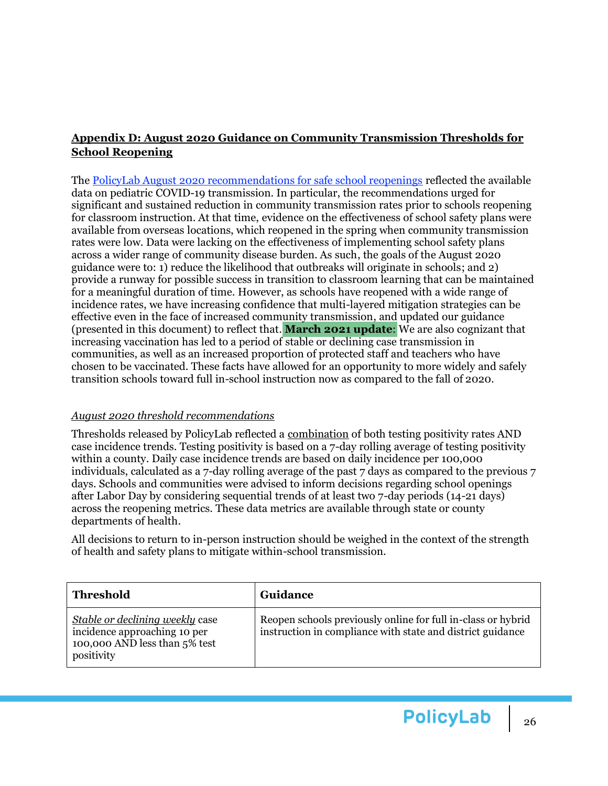## <span id="page-25-0"></span>**Appendix D: August 2020 Guidance on Community Transmission Thresholds for School Reopening**

The [PolicyLab August 2020 recommendations for safe school reopenings](https://policylab.chop.edu/reports-and-tools/policy-review-evidence-and-considerations-school-reopenings) reflected the available data on pediatric COVID-19 transmission. In particular, the recommendations urged for significant and sustained reduction in community transmission rates prior to schools reopening for classroom instruction. At that time, evidence on the effectiveness of school safety plans were available from overseas locations, which reopened in the spring when community transmission rates were low. Data were lacking on the effectiveness of implementing school safety plans across a wider range of community disease burden. As such, the goals of the August 2020 guidance were to: 1) reduce the likelihood that outbreaks will originate in schools; and 2) provide a runway for possible success in transition to classroom learning that can be maintained for a meaningful duration of time. However, as schools have reopened with a wide range of incidence rates, we have increasing confidence that multi-layered mitigation strategies can be effective even in the face of increased community transmission, and updated our guidance (presented in this document) to reflect that. **March 2021 update**: We are also cognizant that increasing vaccination has led to a period of stable or declining case transmission in communities, as well as an increased proportion of protected staff and teachers who have chosen to be vaccinated. These facts have allowed for an opportunity to more widely and safely transition schools toward full in-school instruction now as compared to the fall of 2020.

### *August 2020 threshold recommendations*

Thresholds released by PolicyLab reflected a combination of both testing positivity rates AND case incidence trends. Testing positivity is based on a 7-day rolling average of testing positivity within a county. Daily case incidence trends are based on daily incidence per 100,000 individuals, calculated as a 7-day rolling average of the past 7 days as compared to the previous  $7$ days. Schools and communities were advised to inform decisions regarding school openings after Labor Day by considering sequential trends of at least two 7-day periods (14-21 days) across the reopening metrics. These data metrics are available through state or county departments of health.

All decisions to return to in-person instruction should be weighed in the context of the strength of health and safety plans to mitigate within-school transmission.

| Threshold                                                                                                             | Guidance                                                                                                                   |
|-----------------------------------------------------------------------------------------------------------------------|----------------------------------------------------------------------------------------------------------------------------|
| <i>Stable or declining weekly case</i><br>incidence approaching 10 per<br>100,000 AND less than 5% test<br>positivity | Reopen schools previously online for full in-class or hybrid<br>instruction in compliance with state and district guidance |